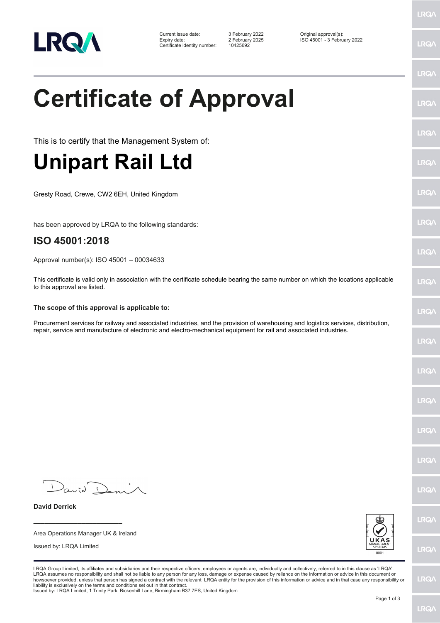

Current issue date: 3 February 2022 Original approval(s): Expiry date: 2 February 2025 ISO 45001 - 3 February 2022

# **Certificate of Approval**

This is to certify that the Management System of:

## **Unipart Rail Ltd**

Gresty Road, Crewe, CW2 6EH, United Kingdom

has been approved by LRQA to the following standards:

#### **ISO 45001:2018**

Approval number(s): ISO 45001 – 00034633

This certificate is valid only in association with the certificate schedule bearing the same number on which the locations applicable to this approval are listed.

#### **The scope of this approval is applicable to:**

Procurement services for railway and associated industries, and the provision of warehousing and logistics services, distribution, repair, service and manufacture of electronic and electro-mechanical equipment for rail and associated industries.

 $D$ anid $D$ 

**\_\_\_\_\_\_\_\_\_\_\_\_\_\_\_\_\_\_\_\_\_\_\_\_** Area Operations Manager UK & Ireland

Issued by: LRQA Limited

**David Derrick**



LRQA Group Limited, its affiliates and subsidiaries and their respective officers, employees or agents are, individually and collectively, referred to in this clause as 'LRQA'. LRQA assumes no responsibility and shall not be liable to any person for any loss, damage or expense caused by reliance on the information or advice in this document or<br>howsoever provided, unless that person has signed a c liability is exclusively on the terms and conditions set out in that contract. Issued by: LRQA Limited, 1 Trinity Park, Bickenhill Lane, Birmingham B37 7ES, United Kingdom

LRQ/

LRQ/

LRQ/

LRQ/

LRQ/

**LRQ/** 

LRQ/

**LRQA** 

**LRO** 

LRQ/

LRQ/

LRQ/

LRQ/

LRQ/

**IRQA** 

LRQ/

LRQ/

LRQ/

LRQ/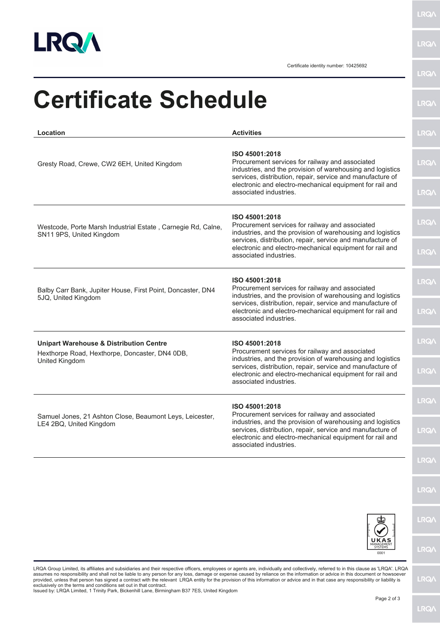

**LRQA** 

Certificate identity number: 10425692

| Location                                                                                                               | <b>Activities</b>                                                                                                                                                                                                                                                                   | <b>LRQ/</b>  |
|------------------------------------------------------------------------------------------------------------------------|-------------------------------------------------------------------------------------------------------------------------------------------------------------------------------------------------------------------------------------------------------------------------------------|--------------|
|                                                                                                                        |                                                                                                                                                                                                                                                                                     |              |
| Gresty Road, Crewe, CW2 6EH, United Kingdom                                                                            | ISO 45001:2018<br>Procurement services for railway and associated<br>industries, and the provision of warehousing and logistics<br>services, distribution, repair, service and manufacture of<br>electronic and electro-mechanical equipment for rail and<br>associated industries. | <b>LRQA</b>  |
|                                                                                                                        |                                                                                                                                                                                                                                                                                     | <b>LRQA</b>  |
| Westcode, Porte Marsh Industrial Estate, Carnegie Rd, Calne,<br>SN11 9PS, United Kingdom                               | ISO 45001:2018<br>Procurement services for railway and associated<br>industries, and the provision of warehousing and logistics<br>services, distribution, repair, service and manufacture of<br>electronic and electro-mechanical equipment for rail and<br>associated industries. | <b>LRQ/\</b> |
|                                                                                                                        |                                                                                                                                                                                                                                                                                     | <b>LRQA</b>  |
| Balby Carr Bank, Jupiter House, First Point, Doncaster, DN4<br>5JQ, United Kingdom                                     | ISO 45001:2018<br>Procurement services for railway and associated<br>industries, and the provision of warehousing and logistics<br>services, distribution, repair, service and manufacture of<br>electronic and electro-mechanical equipment for rail and<br>associated industries. | <b>LRQA</b>  |
|                                                                                                                        |                                                                                                                                                                                                                                                                                     |              |
|                                                                                                                        |                                                                                                                                                                                                                                                                                     | <b>LRQ/\</b> |
| <b>Unipart Warehouse &amp; Distribution Centre</b><br>Hexthorpe Road, Hexthorpe, Doncaster, DN4 0DB,<br>United Kingdom | ISO 45001:2018<br>Procurement services for railway and associated<br>industries, and the provision of warehousing and logistics<br>services, distribution, repair, service and manufacture of<br>electronic and electro-mechanical equipment for rail and<br>associated industries. | <b>LRQA</b>  |
|                                                                                                                        |                                                                                                                                                                                                                                                                                     | <b>LRQA</b>  |
| Samuel Jones, 21 Ashton Close, Beaumont Leys, Leicester,<br>LE4 2BQ, United Kingdom                                    | ISO 45001:2018<br>Procurement services for railway and associated<br>industries, and the provision of warehousing and logistics<br>services, distribution, repair, service and manufacture of<br>electronic and electro-mechanical equipment for rail and<br>associated industries. | <b>LRQ/</b>  |
|                                                                                                                        |                                                                                                                                                                                                                                                                                     | <b>LRQ/</b>  |
|                                                                                                                        |                                                                                                                                                                                                                                                                                     | <b>LRQ/</b>  |
|                                                                                                                        |                                                                                                                                                                                                                                                                                     | <b>LRQ/</b>  |
|                                                                                                                        |                                                                                                                                                                                                                                                                                     |              |
|                                                                                                                        |                                                                                                                                                                                                                                                                                     | <b>LRQA</b>  |
|                                                                                                                        | 0001                                                                                                                                                                                                                                                                                | <b>LRQA</b>  |

LRQA Group Limited, its affiliates and subsidiaries and their respective officers, employees or agents are, individually and collectively, referred to in this clause as 'LRQA'. LRQA<br>provided, unless that person has signed

**LRQA**